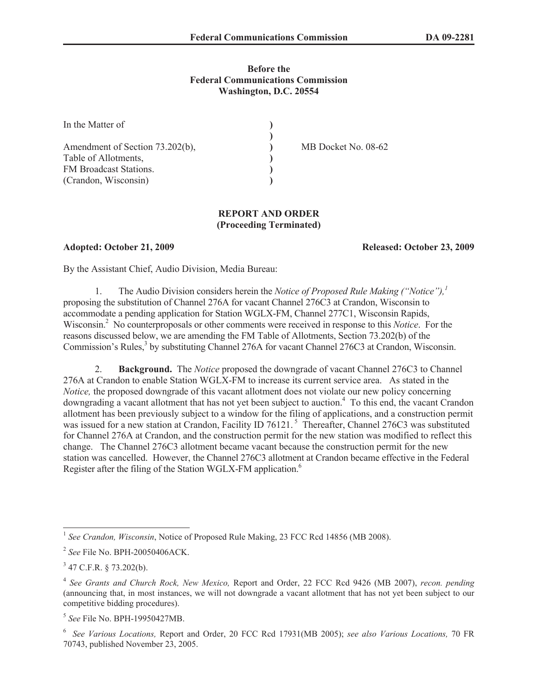# **Before the Federal Communications Commission Washington, D.C. 20554**

| In the Matter of                |                     |
|---------------------------------|---------------------|
|                                 |                     |
| Amendment of Section 73.202(b), | MB Docket No. 08-62 |
| Table of Allotments,            |                     |
| FM Broadcast Stations.          |                     |
| (Crandon, Wisconsin)            |                     |

# **REPORT AND ORDER (Proceeding Terminated)**

**Adopted: October 21, 2009 Released: October 23, 2009**

By the Assistant Chief, Audio Division, Media Bureau:

1. The Audio Division considers herein the *Notice of Proposed Rule Making ("Notice"),<sup>1</sup>* proposing the substitution of Channel 276A for vacant Channel 276C3 at Crandon, Wisconsin to accommodate a pending application for Station WGLX-FM, Channel 277C1, Wisconsin Rapids, Wisconsin.<sup>2</sup> No counterproposals or other comments were received in response to this *Notice*. For the reasons discussed below, we are amending the FM Table of Allotments, Section 73.202(b) of the Commission's Rules,<sup>3</sup> by substituting Channel 276A for vacant Channel 276C3 at Crandon, Wisconsin.

2. **Background.** The *Notice* proposed the downgrade of vacant Channel 276C3 to Channel 276A at Crandon to enable Station WGLX-FM to increase its current service area. As stated in the *Notice*, the proposed downgrade of this vacant allotment does not violate our new policy concerning downgrading a vacant allotment that has not yet been subject to auction.<sup>4</sup> To this end, the vacant Crandon allotment has been previously subject to a window for the filing of applications, and a construction permit was issued for a new station at Crandon, Facility ID 76121.<sup>5</sup> Thereafter, Channel 276C3 was substituted for Channel 276A at Crandon, and the construction permit for the new station was modified to reflect this change. The Channel 276C3 allotment became vacant because the construction permit for the new station was cancelled. However, the Channel 276C3 allotment at Crandon became effective in the Federal Register after the filing of the Station WGLX-FM application.<sup>6</sup>

<sup>&</sup>lt;sup>1</sup> See Crandon, Wisconsin, Notice of Proposed Rule Making, 23 FCC Rcd 14856 (MB 2008).

<sup>2</sup> *See* File No. BPH-20050406ACK.

 $3$  47 C.F.R. § 73.202(b).

<sup>4</sup> *See Grants and Church Rock, New Mexico,* Report and Order, 22 FCC Rcd 9426 (MB 2007), *recon. pending*  (announcing that, in most instances, we will not downgrade a vacant allotment that has not yet been subject to our competitive bidding procedures).

<sup>5</sup> *See* File No. BPH-19950427MB.

<sup>6</sup> *See Various Locations,* Report and Order, 20 FCC Rcd 17931(MB 2005); *see also Various Locations,* 70 FR 70743, published November 23, 2005.